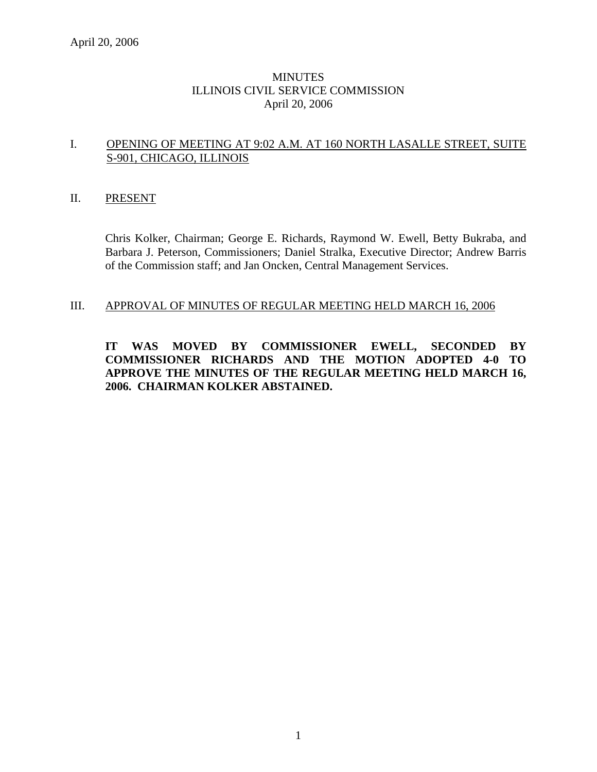# **MINUTES** ILLINOIS CIVIL SERVICE COMMISSION April 20, 2006

## I. OPENING OF MEETING AT 9:02 A.M. AT 160 NORTH LASALLE STREET, SUITE S-901, CHICAGO, ILLINOIS

## II. PRESENT

Chris Kolker, Chairman; George E. Richards, Raymond W. Ewell, Betty Bukraba, and Barbara J. Peterson, Commissioners; Daniel Stralka, Executive Director; Andrew Barris of the Commission staff; and Jan Oncken, Central Management Services.

## III. APPROVAL OF MINUTES OF REGULAR MEETING HELD MARCH 16, 2006

**IT WAS MOVED BY COMMISSIONER EWELL, SECONDED BY COMMISSIONER RICHARDS AND THE MOTION ADOPTED 4-0 TO APPROVE THE MINUTES OF THE REGULAR MEETING HELD MARCH 16, 2006. CHAIRMAN KOLKER ABSTAINED.**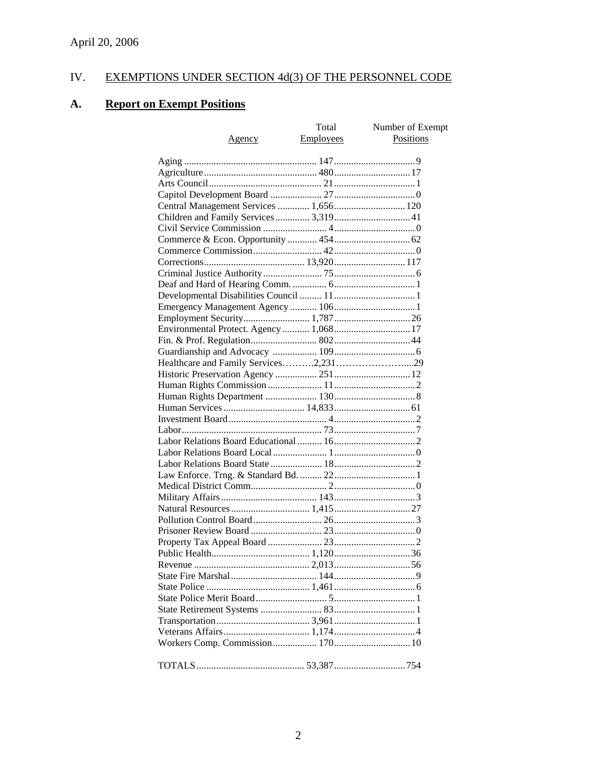# IV. EXEMPTIONS UNDER SECTION 4d(3) OF THE PERSONNEL CODE

# **A. Report on Exempt Positions**

| <u>Agency</u>                           | Total<br><b>Employees</b> | Number of Exempt<br>Positions |
|-----------------------------------------|---------------------------|-------------------------------|
|                                         |                           |                               |
|                                         |                           |                               |
|                                         |                           |                               |
|                                         |                           |                               |
| Central Management Services  1,656 120  |                           |                               |
| Children and Family Services 3,319 41   |                           |                               |
|                                         |                           |                               |
|                                         |                           |                               |
|                                         |                           |                               |
|                                         |                           |                               |
|                                         |                           |                               |
|                                         |                           |                               |
|                                         |                           |                               |
|                                         |                           |                               |
|                                         |                           |                               |
| Environmental Protect. Agency  1,068 17 |                           |                               |
|                                         |                           |                               |
|                                         |                           |                               |
|                                         |                           |                               |
|                                         |                           |                               |
|                                         |                           |                               |
|                                         |                           |                               |
|                                         |                           |                               |
|                                         |                           |                               |
|                                         |                           |                               |
|                                         |                           |                               |
|                                         |                           |                               |
|                                         |                           |                               |
|                                         |                           |                               |
|                                         |                           |                               |
|                                         |                           |                               |
|                                         |                           |                               |
|                                         |                           |                               |
|                                         |                           |                               |
|                                         |                           |                               |
|                                         |                           |                               |
|                                         |                           |                               |
|                                         |                           |                               |
|                                         |                           |                               |
|                                         |                           |                               |
|                                         |                           |                               |
|                                         |                           |                               |
|                                         |                           |                               |
|                                         |                           |                               |
|                                         |                           |                               |
|                                         |                           |                               |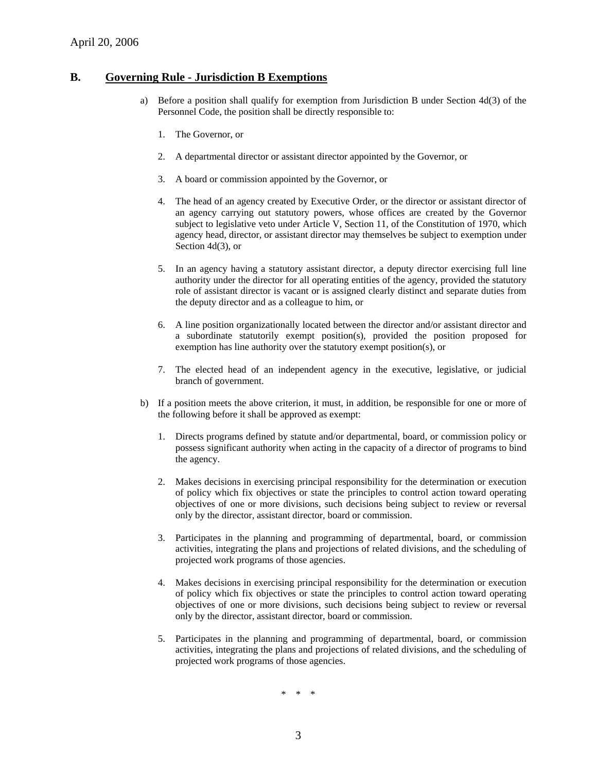#### **B. Governing Rule - Jurisdiction B Exemptions**

- a) Before a position shall qualify for exemption from Jurisdiction B under Section 4d(3) of the Personnel Code, the position shall be directly responsible to:
	- 1. The Governor, or
	- 2. A departmental director or assistant director appointed by the Governor, or
	- 3. A board or commission appointed by the Governor, or
	- 4. The head of an agency created by Executive Order, or the director or assistant director of an agency carrying out statutory powers, whose offices are created by the Governor subject to legislative veto under Article V, Section 11, of the Constitution of 1970, which agency head, director, or assistant director may themselves be subject to exemption under Section 4d(3), or
	- 5. In an agency having a statutory assistant director, a deputy director exercising full line authority under the director for all operating entities of the agency, provided the statutory role of assistant director is vacant or is assigned clearly distinct and separate duties from the deputy director and as a colleague to him, or
	- 6. A line position organizationally located between the director and/or assistant director and a subordinate statutorily exempt position(s), provided the position proposed for exemption has line authority over the statutory exempt position(s), or
	- 7. The elected head of an independent agency in the executive, legislative, or judicial branch of government.
- b) If a position meets the above criterion, it must, in addition, be responsible for one or more of the following before it shall be approved as exempt:
	- 1. Directs programs defined by statute and/or departmental, board, or commission policy or possess significant authority when acting in the capacity of a director of programs to bind the agency.
	- 2. Makes decisions in exercising principal responsibility for the determination or execution of policy which fix objectives or state the principles to control action toward operating objectives of one or more divisions, such decisions being subject to review or reversal only by the director, assistant director, board or commission.
	- 3. Participates in the planning and programming of departmental, board, or commission activities, integrating the plans and projections of related divisions, and the scheduling of projected work programs of those agencies.
	- 4. Makes decisions in exercising principal responsibility for the determination or execution of policy which fix objectives or state the principles to control action toward operating objectives of one or more divisions, such decisions being subject to review or reversal only by the director, assistant director, board or commission.
	- 5. Participates in the planning and programming of departmental, board, or commission activities, integrating the plans and projections of related divisions, and the scheduling of projected work programs of those agencies.

\* \* \*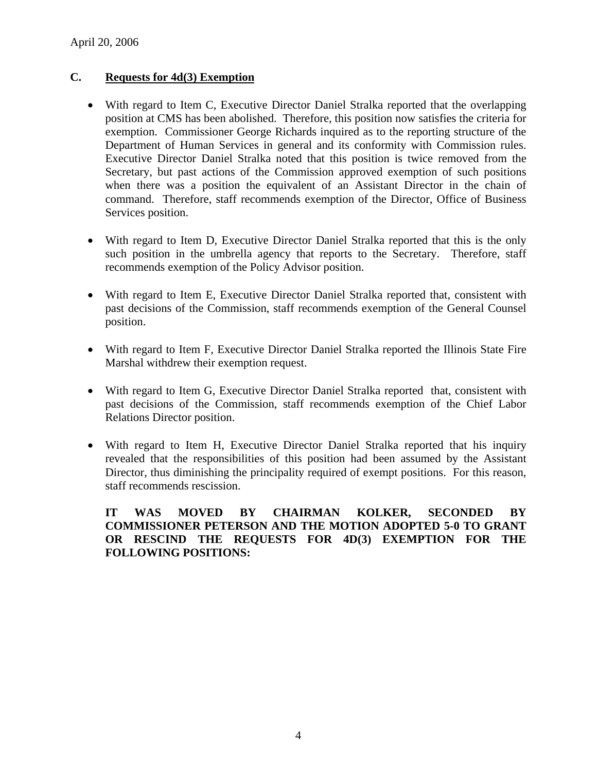# **C. Requests for 4d(3) Exemption**

- With regard to Item C, Executive Director Daniel Stralka reported that the overlapping position at CMS has been abolished. Therefore, this position now satisfies the criteria for exemption. Commissioner George Richards inquired as to the reporting structure of the Department of Human Services in general and its conformity with Commission rules. Executive Director Daniel Stralka noted that this position is twice removed from the Secretary, but past actions of the Commission approved exemption of such positions when there was a position the equivalent of an Assistant Director in the chain of command. Therefore, staff recommends exemption of the Director, Office of Business Services position.
- With regard to Item D, Executive Director Daniel Stralka reported that this is the only such position in the umbrella agency that reports to the Secretary. Therefore, staff recommends exemption of the Policy Advisor position.
- With regard to Item E, Executive Director Daniel Stralka reported that, consistent with past decisions of the Commission, staff recommends exemption of the General Counsel position.
- With regard to Item F, Executive Director Daniel Stralka reported the Illinois State Fire Marshal withdrew their exemption request.
- With regard to Item G, Executive Director Daniel Stralka reported that, consistent with past decisions of the Commission, staff recommends exemption of the Chief Labor Relations Director position.
- With regard to Item H, Executive Director Daniel Stralka reported that his inquiry revealed that the responsibilities of this position had been assumed by the Assistant Director, thus diminishing the principality required of exempt positions. For this reason, staff recommends rescission.

**IT WAS MOVED BY CHAIRMAN KOLKER, SECONDED BY COMMISSIONER PETERSON AND THE MOTION ADOPTED 5-0 TO GRANT OR RESCIND THE REQUESTS FOR 4D(3) EXEMPTION FOR THE FOLLOWING POSITIONS:**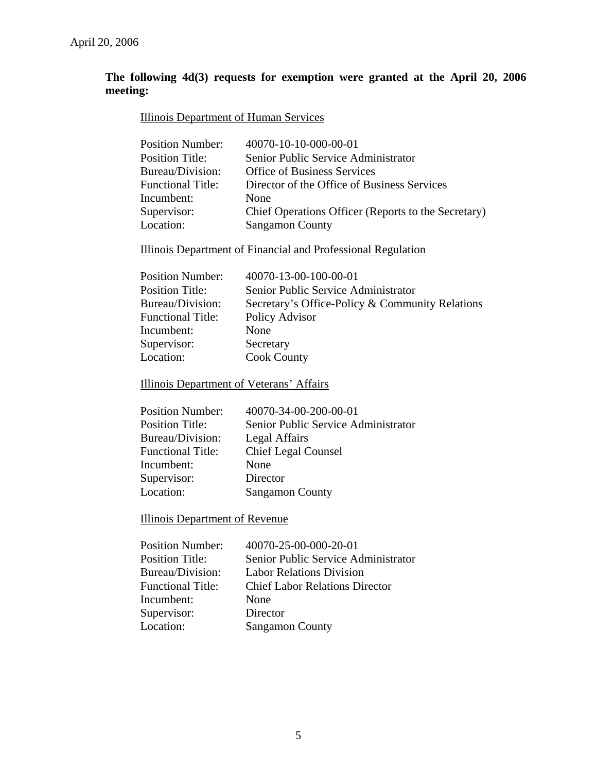# **The following 4d(3) requests for exemption were granted at the April 20, 2006 meeting:**

## Illinois Department of Human Services

| <b>Position Number:</b>  | 40070-10-10-000-00-01                               |
|--------------------------|-----------------------------------------------------|
| <b>Position Title:</b>   | Senior Public Service Administrator                 |
| Bureau/Division:         | <b>Office of Business Services</b>                  |
| <b>Functional Title:</b> | Director of the Office of Business Services         |
| Incumbent:               | <b>None</b>                                         |
| Supervisor:              | Chief Operations Officer (Reports to the Secretary) |
| Location:                | <b>Sangamon County</b>                              |
|                          |                                                     |

Illinois Department of Financial and Professional Regulation

| <b>Position Number:</b>  | 40070-13-00-100-00-01                           |
|--------------------------|-------------------------------------------------|
| <b>Position Title:</b>   | Senior Public Service Administrator             |
| Bureau/Division:         | Secretary's Office-Policy & Community Relations |
| <b>Functional Title:</b> | Policy Advisor                                  |
| Incumbent:               | None                                            |
| Supervisor:              | Secretary                                       |
| Location:                | <b>Cook County</b>                              |

Illinois Department of Veterans' Affairs

| <b>Position Number:</b>  | 40070-34-00-200-00-01               |
|--------------------------|-------------------------------------|
| <b>Position Title:</b>   | Senior Public Service Administrator |
| Bureau/Division:         | Legal Affairs                       |
| <b>Functional Title:</b> | <b>Chief Legal Counsel</b>          |
| Incumbent:               | None                                |
| Supervisor:              | Director                            |
| Location:                | <b>Sangamon County</b>              |

Illinois Department of Revenue

| <b>Position Number:</b>  | 40070-25-00-000-20-01                 |
|--------------------------|---------------------------------------|
| <b>Position Title:</b>   | Senior Public Service Administrator   |
| Bureau/Division:         | <b>Labor Relations Division</b>       |
| <b>Functional Title:</b> | <b>Chief Labor Relations Director</b> |
| Incumbent:               | None                                  |
| Supervisor:              | Director                              |
| Location:                | <b>Sangamon County</b>                |
|                          |                                       |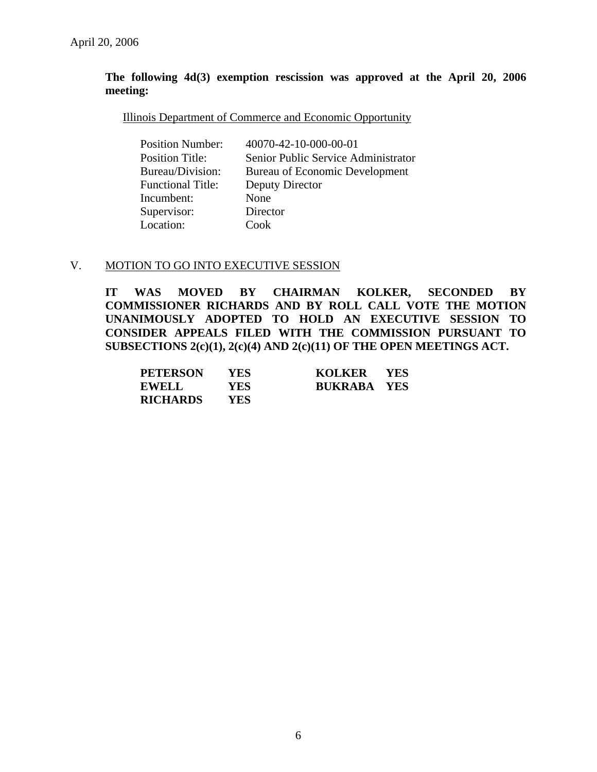#### **The following 4d(3) exemption rescission was approved at the April 20, 2006 meeting:**

#### Illinois Department of Commerce and Economic Opportunity

| <b>Position Number:</b>  | 40070-42-10-000-00-01               |
|--------------------------|-------------------------------------|
| <b>Position Title:</b>   | Senior Public Service Administrator |
| Bureau/Division:         | Bureau of Economic Development      |
| <b>Functional Title:</b> | Deputy Director                     |
| Incumbent:               | None                                |
| Supervisor:              | Director                            |
| Location:                | Cook                                |

#### V. MOTION TO GO INTO EXECUTIVE SESSION

**IT WAS MOVED BY CHAIRMAN KOLKER, SECONDED BY COMMISSIONER RICHARDS AND BY ROLL CALL VOTE THE MOTION UNANIMOUSLY ADOPTED TO HOLD AN EXECUTIVE SESSION TO CONSIDER APPEALS FILED WITH THE COMMISSION PURSUANT TO SUBSECTIONS 2(c)(1), 2(c)(4) AND 2(c)(11) OF THE OPEN MEETINGS ACT.** 

| <b>PETERSON</b> | <b>YES</b> | KOLKER YES         |  |
|-----------------|------------|--------------------|--|
| <b>EWELL</b>    | <b>YES</b> | <b>BUKRABA YES</b> |  |
| <b>RICHARDS</b> | <b>YES</b> |                    |  |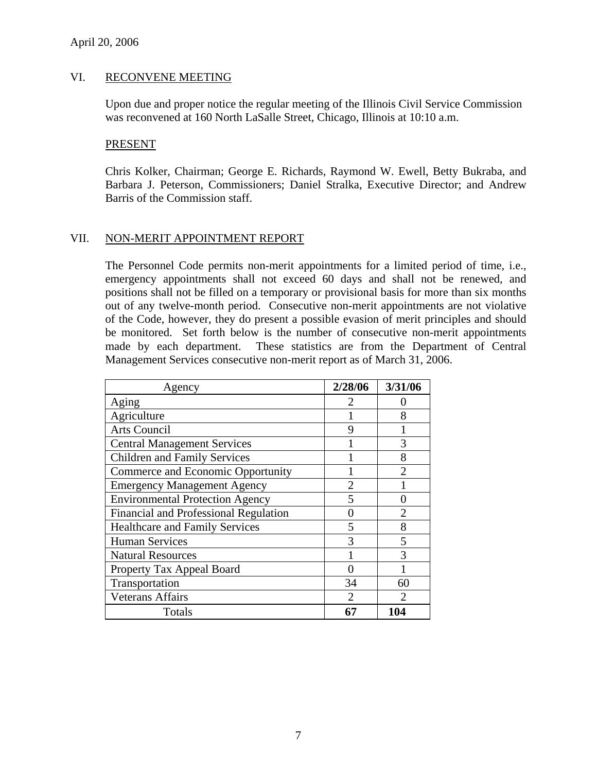#### VI. RECONVENE MEETING

Upon due and proper notice the regular meeting of the Illinois Civil Service Commission was reconvened at 160 North LaSalle Street, Chicago, Illinois at 10:10 a.m.

#### PRESENT

Chris Kolker, Chairman; George E. Richards, Raymond W. Ewell, Betty Bukraba, and Barbara J. Peterson, Commissioners; Daniel Stralka, Executive Director; and Andrew Barris of the Commission staff.

#### VII. NON-MERIT APPOINTMENT REPORT

The Personnel Code permits non-merit appointments for a limited period of time, i.e., emergency appointments shall not exceed 60 days and shall not be renewed, and positions shall not be filled on a temporary or provisional basis for more than six months out of any twelve-month period. Consecutive non-merit appointments are not violative of the Code, however, they do present a possible evasion of merit principles and should be monitored. Set forth below is the number of consecutive non-merit appointments made by each department. These statistics are from the Department of Central Management Services consecutive non-merit report as of March 31, 2006.

| Agency                                 | 2/28/06        | 3/31/06        |
|----------------------------------------|----------------|----------------|
| Aging                                  | 2              |                |
| Agriculture                            |                | 8              |
| <b>Arts Council</b>                    | 9              |                |
| <b>Central Management Services</b>     |                | 3              |
| <b>Children and Family Services</b>    |                | 8              |
| Commerce and Economic Opportunity      |                | $\mathfrak{D}$ |
| <b>Emergency Management Agency</b>     | $\overline{2}$ |                |
| <b>Environmental Protection Agency</b> | 5              | 0              |
| Financial and Professional Regulation  | 0              | 2              |
| <b>Healthcare and Family Services</b>  | 5              | 8              |
| <b>Human Services</b>                  | 3              | 5              |
| <b>Natural Resources</b>               |                | 3              |
| Property Tax Appeal Board              | 0              |                |
| Transportation                         | 34             | 60             |
| <b>Veterans Affairs</b>                | $\mathfrak{D}$ | $\mathcal{D}$  |
| Totals                                 | 67             | 104            |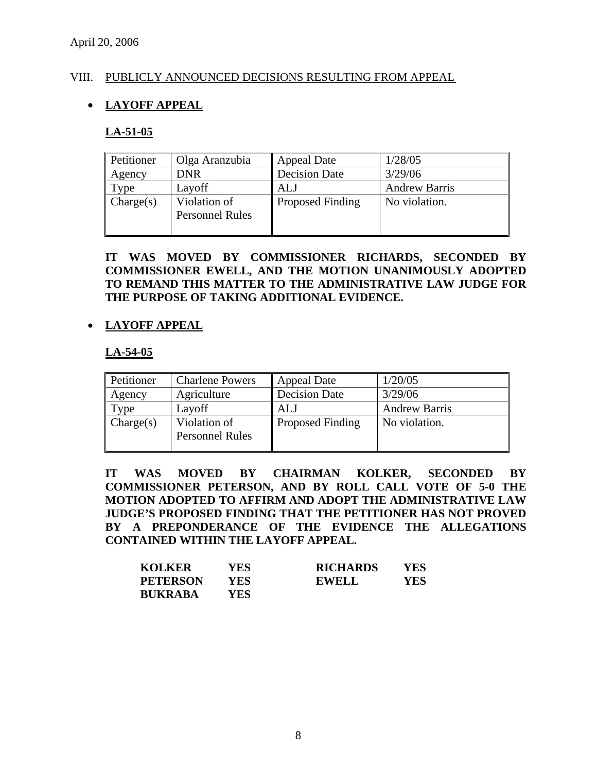## VIII. PUBLICLY ANNOUNCED DECISIONS RESULTING FROM APPEAL

# • **LAYOFF APPEAL**

## **LA-51-05**

| Petitioner | Olga Aranzubia                         | <b>Appeal Date</b>      | 1/28/05              |
|------------|----------------------------------------|-------------------------|----------------------|
| Agency     | <b>DNR</b>                             | <b>Decision Date</b>    | 3/29/06              |
| $T$ ype    | Layoff                                 | ALJ                     | <b>Andrew Barris</b> |
| Change(s)  | Violation of<br><b>Personnel Rules</b> | <b>Proposed Finding</b> | No violation.        |

#### **IT WAS MOVED BY COMMISSIONER RICHARDS, SECONDED BY COMMISSIONER EWELL, AND THE MOTION UNANIMOUSLY ADOPTED TO REMAND THIS MATTER TO THE ADMINISTRATIVE LAW JUDGE FOR THE PURPOSE OF TAKING ADDITIONAL EVIDENCE.**

## • **LAYOFF APPEAL**

#### **LA-54-05**

| Petitioner             | <b>Charlene Powers</b>                 | <b>Appeal Date</b>      | 1/20/05              |
|------------------------|----------------------------------------|-------------------------|----------------------|
| Agency                 | Agriculture                            | <b>Decision Date</b>    | 3/29/06              |
| $\tau_{\rm \gamma pe}$ | Layoff                                 | ALJ                     | <b>Andrew Barris</b> |
| Change(s)              | Violation of<br><b>Personnel Rules</b> | <b>Proposed Finding</b> | No violation.        |

**IT WAS MOVED BY CHAIRMAN KOLKER, SECONDED BY COMMISSIONER PETERSON, AND BY ROLL CALL VOTE OF 5-0 THE MOTION ADOPTED TO AFFIRM AND ADOPT THE ADMINISTRATIVE LAW JUDGE'S PROPOSED FINDING THAT THE PETITIONER HAS NOT PROVED BY A PREPONDERANCE OF THE EVIDENCE THE ALLEGATIONS CONTAINED WITHIN THE LAYOFF APPEAL.** 

| <b>KOLKER</b>   | YES  | <b>RICHARDS</b> | YES |
|-----------------|------|-----------------|-----|
| <b>PETERSON</b> | YES. | EWELL           | YES |
| <b>BUKRABA</b>  | YES  |                 |     |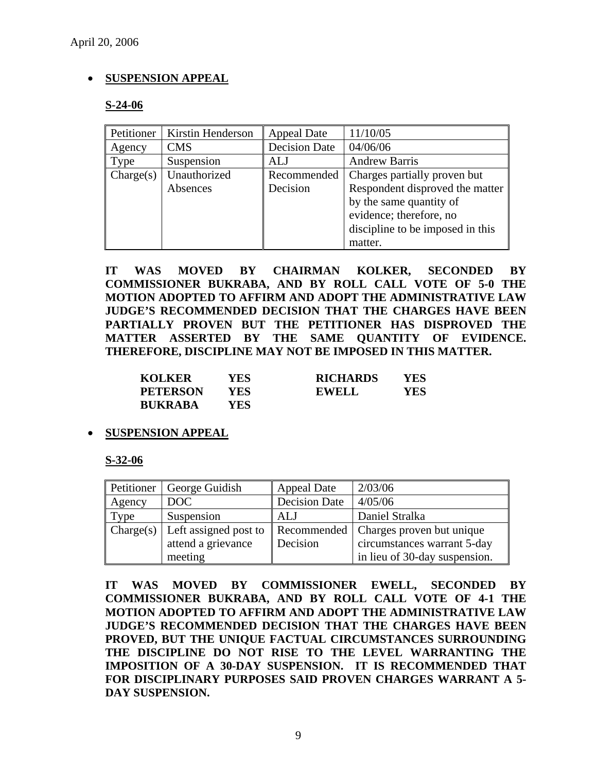# • **SUSPENSION APPEAL**

#### **S-24-06**

| Petitioner | Kirstin Henderson | <b>Appeal Date</b>   | 11/10/05                         |
|------------|-------------------|----------------------|----------------------------------|
| Agency     | <b>CMS</b>        | <b>Decision Date</b> | 04/06/06                         |
| Type       | Suspension        | ALJ                  | <b>Andrew Barris</b>             |
| Change(s)  | Unauthorized      | Recommended          | Charges partially proven but     |
|            | Absences          | Decision             | Respondent disproved the matter  |
|            |                   |                      | by the same quantity of          |
|            |                   |                      | evidence; therefore, no          |
|            |                   |                      | discipline to be imposed in this |
|            |                   |                      | matter.                          |

**IT WAS MOVED BY CHAIRMAN KOLKER, SECONDED BY COMMISSIONER BUKRABA, AND BY ROLL CALL VOTE OF 5-0 THE MOTION ADOPTED TO AFFIRM AND ADOPT THE ADMINISTRATIVE LAW JUDGE'S RECOMMENDED DECISION THAT THE CHARGES HAVE BEEN PARTIALLY PROVEN BUT THE PETITIONER HAS DISPROVED THE MATTER ASSERTED BY THE SAME QUANTITY OF EVIDENCE. THEREFORE, DISCIPLINE MAY NOT BE IMPOSED IN THIS MATTER.** 

| <b>KOLKER</b>   | YES | <b>RICHARDS</b> | YES |
|-----------------|-----|-----------------|-----|
| <b>PETERSON</b> | YES | <b>EWELL</b>    | YES |
| <b>BUKRABA</b>  | YES |                 |     |

#### • **SUSPENSION APPEAL**

**S-32-06**

| Petitioner | George Guidish                                  | <b>Appeal Date</b>   | 2/03/06                       |
|------------|-------------------------------------------------|----------------------|-------------------------------|
| Agency     | DOC                                             | <b>Decision Date</b> | 4/05/06                       |
| Type       | Suspension                                      | ALJ                  | Daniel Stralka                |
|            | $\vert$ Charge(s) $\vert$ Left assigned post to | Recommended          | Charges proven but unique     |
|            | attend a grievance                              | Decision             | circumstances warrant 5-day   |
|            | meeting                                         |                      | in lieu of 30-day suspension. |

**IT WAS MOVED BY COMMISSIONER EWELL, SECONDED BY COMMISSIONER BUKRABA, AND BY ROLL CALL VOTE OF 4-1 THE MOTION ADOPTED TO AFFIRM AND ADOPT THE ADMINISTRATIVE LAW JUDGE'S RECOMMENDED DECISION THAT THE CHARGES HAVE BEEN PROVED, BUT THE UNIQUE FACTUAL CIRCUMSTANCES SURROUNDING THE DISCIPLINE DO NOT RISE TO THE LEVEL WARRANTING THE IMPOSITION OF A 30-DAY SUSPENSION. IT IS RECOMMENDED THAT FOR DISCIPLINARY PURPOSES SAID PROVEN CHARGES WARRANT A 5- DAY SUSPENSION.**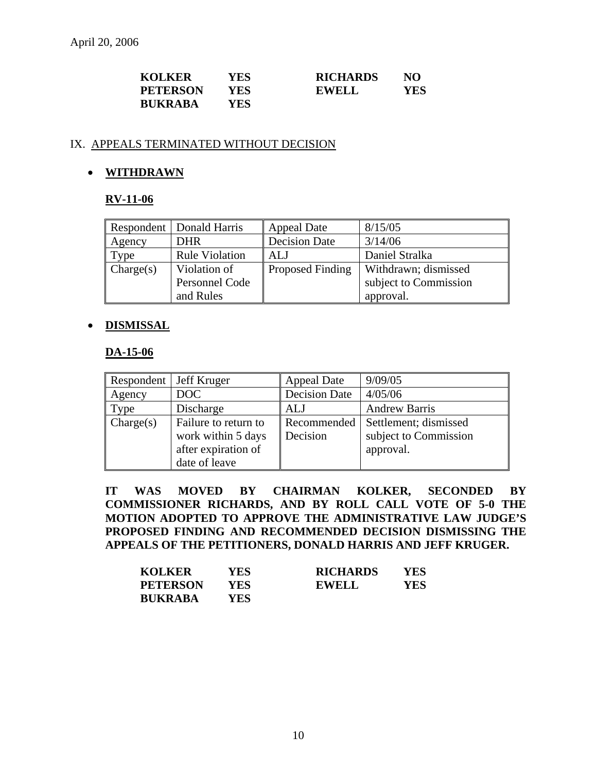| <b>KOLKER</b>   | YES | <b>RICHARDS</b> | NO  |
|-----------------|-----|-----------------|-----|
| <b>PETERSON</b> | YES | <b>EWELL</b>    | YES |
| <b>BUKRABA</b>  | YES |                 |     |

## IX. APPEALS TERMINATED WITHOUT DECISION

# • **WITHDRAWN**

## **RV-11-06**

|           | Respondent   Donald Harris | <b>Appeal Date</b>      | 8/15/05               |
|-----------|----------------------------|-------------------------|-----------------------|
| Agency    | <b>DHR</b>                 | <b>Decision Date</b>    | 3/14/06               |
| Type      | <b>Rule Violation</b>      | ALJ                     | Daniel Stralka        |
| Change(s) | Violation of               | <b>Proposed Finding</b> | Withdrawn; dismissed  |
|           | Personnel Code             |                         | subject to Commission |
|           | and Rules                  |                         | approval.             |

## • **DISMISSAL**

#### **DA-15-06**

| Respondent   Jeff Kruger |                      | <b>Appeal Date</b>   | 9/09/05               |
|--------------------------|----------------------|----------------------|-----------------------|
| Agency                   | DOC                  | <b>Decision Date</b> | 4/05/06               |
| Type                     | Discharge            | <b>ALJ</b>           | <b>Andrew Barris</b>  |
| Change(s)                | Failure to return to | Recommended          | Settlement; dismissed |
|                          | work within 5 days   | Decision             | subject to Commission |
|                          | after expiration of  |                      | approval.             |
|                          | date of leave        |                      |                       |

**IT WAS MOVED BY CHAIRMAN KOLKER, SECONDED BY COMMISSIONER RICHARDS, AND BY ROLL CALL VOTE OF 5-0 THE MOTION ADOPTED TO APPROVE THE ADMINISTRATIVE LAW JUDGE'S PROPOSED FINDING AND RECOMMENDED DECISION DISMISSING THE APPEALS OF THE PETITIONERS, DONALD HARRIS AND JEFF KRUGER.** 

| <b>KOLKER</b>   | YES | <b>RICHARDS</b> | YES |
|-----------------|-----|-----------------|-----|
| <b>PETERSON</b> | YES | <b>EWELL</b>    | YES |
| <b>BUKRABA</b>  | YES |                 |     |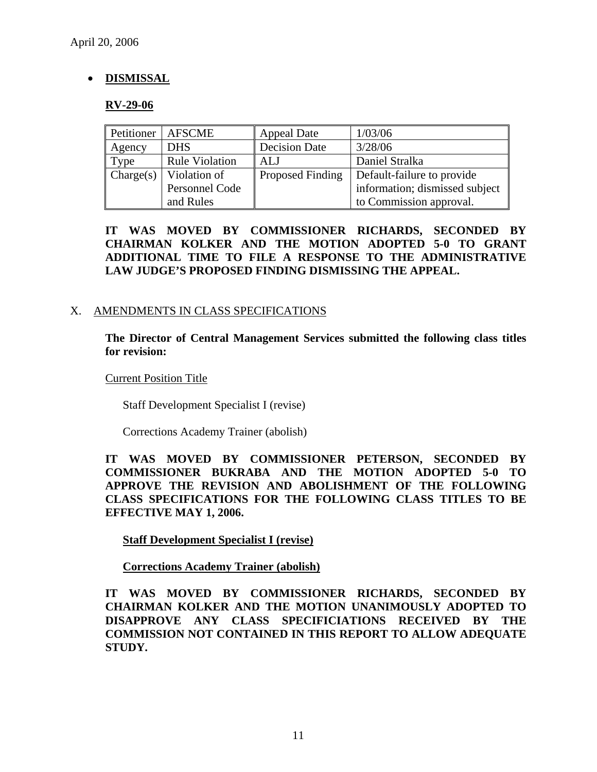# • **DISMISSAL**

## **RV-29-06**

| Petitioner | <b>AFSCME</b>         | <b>Appeal Date</b>   | 1/03/06                        |
|------------|-----------------------|----------------------|--------------------------------|
| Agency     | <b>DHS</b>            | <b>Decision Date</b> | 3/28/06                        |
| Type       | <b>Rule Violation</b> | ALJ                  | Daniel Stralka                 |
| Change(s)  | Violation of          | Proposed Finding     | Default-failure to provide     |
|            | Personnel Code        |                      | information; dismissed subject |
|            | and Rules             |                      | to Commission approval.        |

**IT WAS MOVED BY COMMISSIONER RICHARDS, SECONDED BY CHAIRMAN KOLKER AND THE MOTION ADOPTED 5-0 TO GRANT ADDITIONAL TIME TO FILE A RESPONSE TO THE ADMINISTRATIVE LAW JUDGE'S PROPOSED FINDING DISMISSING THE APPEAL.** 

## X. AMENDMENTS IN CLASS SPECIFICATIONS

**The Director of Central Management Services submitted the following class titles for revision:** 

Current Position Title

Staff Development Specialist I (revise)

Corrections Academy Trainer (abolish)

**IT WAS MOVED BY COMMISSIONER PETERSON, SECONDED BY COMMISSIONER BUKRABA AND THE MOTION ADOPTED 5-0 TO APPROVE THE REVISION AND ABOLISHMENT OF THE FOLLOWING CLASS SPECIFICATIONS FOR THE FOLLOWING CLASS TITLES TO BE EFFECTIVE MAY 1, 2006.** 

**Staff Development Specialist I (revise)**

 **Corrections Academy Trainer (abolish)**

**IT WAS MOVED BY COMMISSIONER RICHARDS, SECONDED BY CHAIRMAN KOLKER AND THE MOTION UNANIMOUSLY ADOPTED TO DISAPPROVE ANY CLASS SPECIFICIATIONS RECEIVED BY THE COMMISSION NOT CONTAINED IN THIS REPORT TO ALLOW ADEQUATE STUDY.**